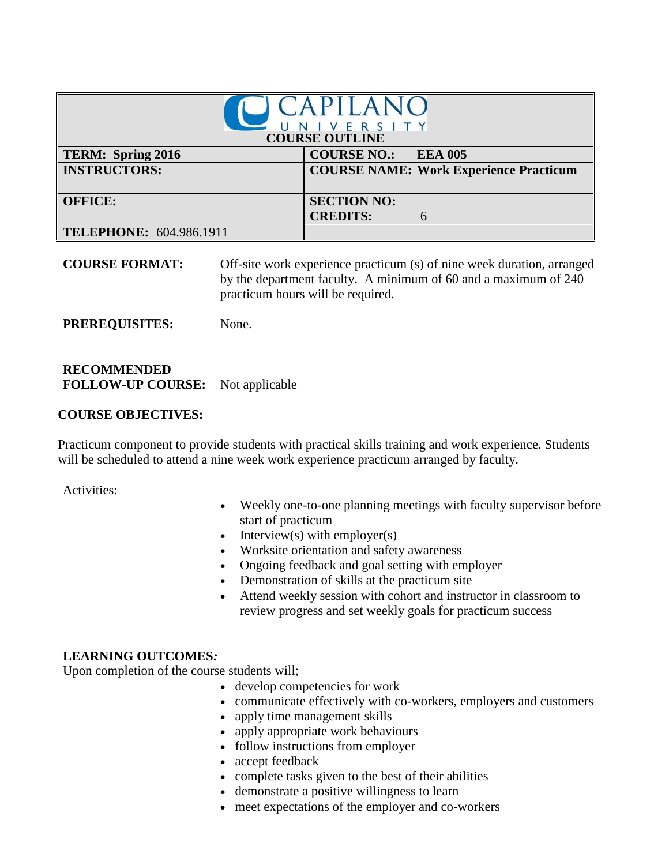| <i>CAPILANC</i><br>NIVERSITY<br><b>COURSE OUTLINE</b> |                                               |  |
|-------------------------------------------------------|-----------------------------------------------|--|
| TERM: Spring 2016                                     | <b>COURSE NO.: EEA 005</b>                    |  |
| <b>INSTRUCTORS:</b>                                   | <b>COURSE NAME: Work Experience Practicum</b> |  |
| <b>OFFICE:</b>                                        | <b>SECTION NO:</b>                            |  |
|                                                       | <b>CREDITS:</b>                               |  |
| TELEPHONE: 604.986.1911                               |                                               |  |

**COURSE FORMAT:** Off-site work experience practicum (s) of nine week duration, arranged by the department faculty. A minimum of 60 and a maximum of 240 practicum hours will be required.

**PREREQUISITES:** None.

## **RECOMMENDED FOLLOW-UP COURSE:** Not applicable

## **COURSE OBJECTIVES:**

Practicum component to provide students with practical skills training and work experience. Students will be scheduled to attend a nine week work experience practicum arranged by faculty.

Activities:

- Weekly one-to-one planning meetings with faculty supervisor before start of practicum
- $\bullet$  Interview(s) with employer(s)
- Worksite orientation and safety awareness
- Ongoing feedback and goal setting with employer
- Demonstration of skills at the practicum site
- Attend weekly session with cohort and instructor in classroom to review progress and set weekly goals for practicum success

## **LEARNING OUTCOMES***:*

Upon completion of the course students will;

- develop competencies for work
- communicate effectively with co-workers, employers and customers
- apply time management skills
- apply appropriate work behaviours
- follow instructions from employer
- accept feedback
- complete tasks given to the best of their abilities
- demonstrate a positive willingness to learn
- meet expectations of the employer and co-workers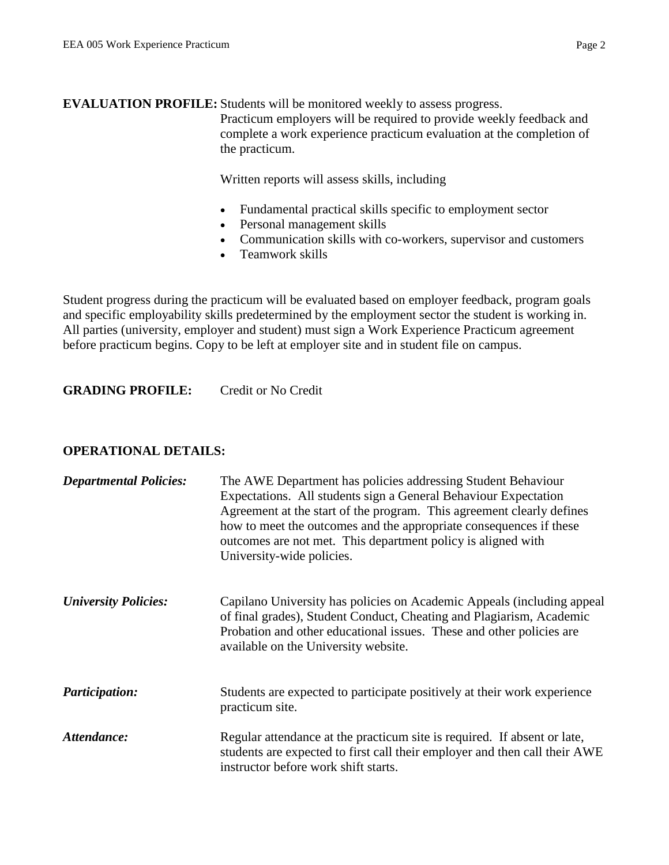**EVALUATION PROFILE:** Students will be monitored weekly to assess progress.

Practicum employers will be required to provide weekly feedback and complete a work experience practicum evaluation at the completion of the practicum.

Written reports will assess skills, including

- Fundamental practical skills specific to employment sector
- Personal management skills
- Communication skills with co-workers, supervisor and customers
- Teamwork skills

Student progress during the practicum will be evaluated based on employer feedback, program goals and specific employability skills predetermined by the employment sector the student is working in. All parties (university, employer and student) must sign a Work Experience Practicum agreement before practicum begins. Copy to be left at employer site and in student file on campus.

**GRADING PROFILE:** Credit or No Credit

## **OPERATIONAL DETAILS:**

| <b>Departmental Policies:</b> | The AWE Department has policies addressing Student Behaviour<br>Expectations. All students sign a General Behaviour Expectation<br>Agreement at the start of the program. This agreement clearly defines<br>how to meet the outcomes and the appropriate consequences if these<br>outcomes are not met. This department policy is aligned with<br>University-wide policies. |
|-------------------------------|-----------------------------------------------------------------------------------------------------------------------------------------------------------------------------------------------------------------------------------------------------------------------------------------------------------------------------------------------------------------------------|
| <b>University Policies:</b>   | Capilano University has policies on Academic Appeals (including appeal<br>of final grades), Student Conduct, Cheating and Plagiarism, Academic<br>Probation and other educational issues. These and other policies are<br>available on the University website.                                                                                                              |
| <b>Participation:</b>         | Students are expected to participate positively at their work experience<br>practicum site.                                                                                                                                                                                                                                                                                 |
| Attendance:                   | Regular attendance at the practicum site is required. If absent or late,<br>students are expected to first call their employer and then call their AWE<br>instructor before work shift starts.                                                                                                                                                                              |